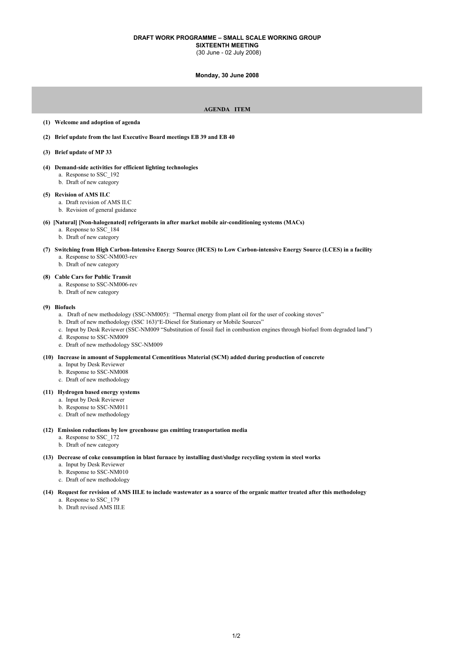# **DRAFT WORK PROGRAMME – SMALL SCALE WORKING GROUP**

**SIXTEENTH MEETING** (30 June - 02 July 2008)

#### **Monday, 30 June 2008**

# **AGENDA ITEM**

#### **(1) Welcome and adoption of agenda**

- **(2) Brief update from the last Executive Board meetings EB 39 and EB 40**
- **(3) Brief update of MP 33**
- **(4) Demand-side activities for efficient lighting technologies**
	- a. Response to SSC\_192
	- b. Draft of new category

# **(5) Revision of AMS II.C**

- a. Draft revision of AMS II.C
- b. Revision of general guidance
- **(6) [Natural] [Non-halogenated] refrigerants in after market mobile air-conditioning systems (MACs)**
	- a. Response to SSC\_184
	- b. Draft of new category
- **(7) Switching from High Carbon-Intensive Energy Source (HCES) to Low Carbon-intensive Energy Source (LCES) in a facility** a. Response to SSC-NM003-rev
	- b. Draft of new category

# **(8) Cable Cars for Public Transit**

- a. Response to SSC-NM006-rev
- b. Draft of new category

### **(9) Biofuels**

- a. Draft of new methodology (SSC-NM005): "Thermal energy from plant oil for the user of cooking stoves"
- b. Draft of new methodology (SSC 163)"E-Diesel for Stationary or Mobile Sources"
- c. Input by Desk Reviewer (SSC-NM009 "Substitution of fossil fuel in combustion engines through biofuel from degraded land")
- d. Response to SSC-NM009
- e. Draft of new methodology SSC-NM009

#### **(10) Increase in amount of Supplemental Cementitious Material (SCM) added during production of concrete**

- a. Input by Desk Reviewer
- b. Response to SSC-NM008
- c. Draft of new methodology

### **(11) Hydrogen based energy systems**

- a. Input by Desk Reviewer
- b. Response to SSC-NM011
- c. Draft of new methodology

# **(12) Emission reductions by low greenhouse gas emitting transportation media**

- a. Response to SSC\_172
- b. Draft of new category

### **(13) Decrease of coke consumption in blast furnace by installing dust/sludge recycling system in steel works**

- a. Input by Desk Reviewer
- b. Response to SSC-NM010
- c. Draft of new methodology

#### **(14) Request for revision of AMS III.E to include wastewater as a source of the organic matter treated after this methodology**

- a. Response to SSC\_179
- b. Draft revised AMS III.E